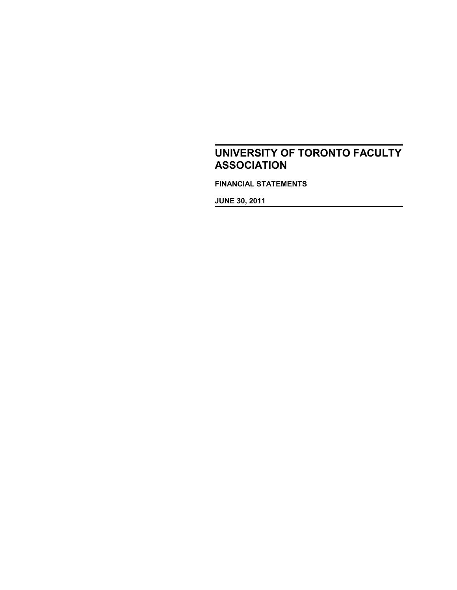**FINANCIAL STATEMENTS**

**JUNE 30, 2011**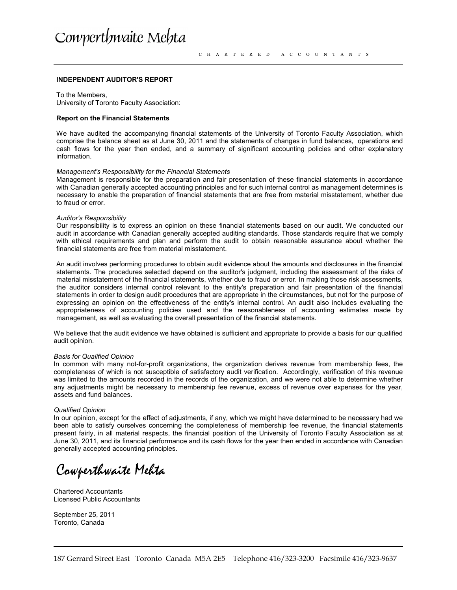#### **INDEPENDENT AUDITOR'S REPORT**

To the Members, University of Toronto Faculty Association:

#### **Report on the Financial Statements**

We have audited the accompanying financial statements of the University of Toronto Faculty Association, which comprise the balance sheet as at June 30, 2011 and the statements of changes in fund balances, operations and cash flows for the year then ended, and a summary of significant accounting policies and other explanatory information.

#### *Management's Responsibility for the Financial Statements*

Management is responsible for the preparation and fair presentation of these financial statements in accordance with Canadian generally accepted accounting principles and for such internal control as management determines is necessary to enable the preparation of financial statements that are free from material misstatement, whether due to fraud or error.

#### *Auditor's Responsibility*

Our responsibility is to express an opinion on these financial statements based on our audit. We conducted our audit in accordance with Canadian generally accepted auditing standards. Those standards require that we comply with ethical requirements and plan and perform the audit to obtain reasonable assurance about whether the financial statements are free from material misstatement.

An audit involves performing procedures to obtain audit evidence about the amounts and disclosures in the financial statements. The procedures selected depend on the auditor's judgment, including the assessment of the risks of material misstatement of the financial statements, whether due to fraud or error. In making those risk assessments, the auditor considers internal control relevant to the entity's preparation and fair presentation of the financial statements in order to design audit procedures that are appropriate in the circumstances, but not for the purpose of expressing an opinion on the effectiveness of the entity's internal control. An audit also includes evaluating the appropriateness of accounting policies used and the reasonableness of accounting estimates made by management, as well as evaluating the overall presentation of the financial statements.

We believe that the audit evidence we have obtained is sufficient and appropriate to provide a basis for our qualified audit opinion.

#### *Basis for Qualified Opinion*

In common with many not-for-profit organizations, the organization derives revenue from membership fees, the completeness of which is not susceptible of satisfactory audit verification. Accordingly, verification of this revenue was limited to the amounts recorded in the records of the organization, and we were not able to determine whether any adjustments might be necessary to membership fee revenue, excess of revenue over expenses for the year, assets and fund balances.

#### *Qualified Opinion*

In our opinion, except for the effect of adjustments, if any, which we might have determined to be necessary had we been able to satisfy ourselves concerning the completeness of membership fee revenue, the financial statements present fairly, in all material respects, the financial position of the University of Toronto Faculty Association as at June 30, 2011, and its financial performance and its cash flows for the year then ended in accordance with Canadian generally accepted accounting principles.

Cowperthwaite Mehta

Chartered Accountants Licensed Public Accountants

September 25, 2011 Toronto, Canada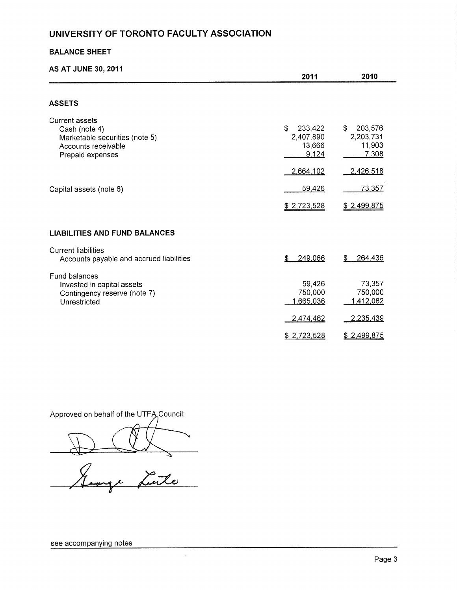### **BALANCE SHEET**

## **AS AT JUNE 30, 2011**

| AJ AT JUNE JU, ZUTT                                                                                                 | 2011                                          | 2010                                          |
|---------------------------------------------------------------------------------------------------------------------|-----------------------------------------------|-----------------------------------------------|
| <b>ASSETS</b>                                                                                                       |                                               |                                               |
| <b>Current assets</b><br>Cash (note 4)<br>Marketable securities (note 5)<br>Accounts receivable<br>Prepaid expenses | S.<br>233,422<br>2,407,890<br>13,666<br>9,124 | \$<br>203,576<br>2,203,731<br>11,903<br>7,308 |
|                                                                                                                     | 2,664,102                                     | 2,426,518                                     |
| Capital assets (note 6)                                                                                             | 59,426                                        | 73,357                                        |
|                                                                                                                     | \$2,723,528                                   | <u>\$2,499,875</u>                            |
| <b>LIABILITIES AND FUND BALANCES</b>                                                                                |                                               |                                               |
| <b>Current liabilities</b><br>Accounts payable and accrued liabilities                                              | 249,066<br>\$                                 | 264,436<br>S                                  |
| <b>Fund balances</b><br>Invested in capital assets<br>Contingency reserve (note 7)<br>Unrestricted                  | 59,426<br>750,000<br>1,665,036                | 73,357<br>750,000<br>1,412,082                |
|                                                                                                                     | 2,474,462                                     | 2,235,439                                     |
|                                                                                                                     | \$2,723,528                                   | \$2,499,875                                   |

Approved on behalf of the UTFA Council:

ac Luite

 $\hat{\mathcal{A}}$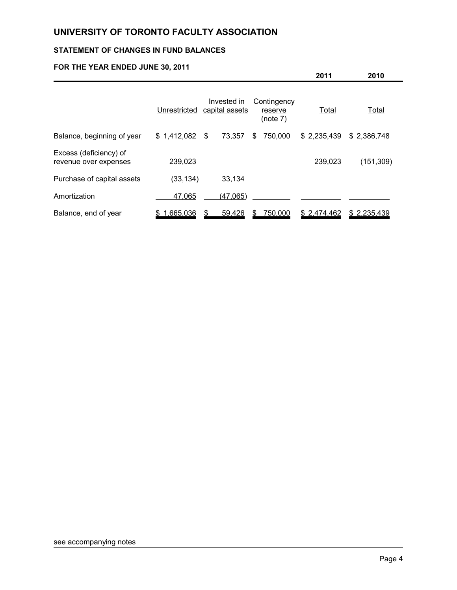# **STATEMENT OF CHANGES IN FUND BALANCES**

## **FOR THE YEAR ENDED JUNE 30, 2011**

|                                                 |                 |                               |                                    | 2011        | 2010        |  |
|-------------------------------------------------|-----------------|-------------------------------|------------------------------------|-------------|-------------|--|
|                                                 | Unrestricted    | Invested in<br>capital assets | Contingency<br>reserve<br>(note 7) | Total       | Total       |  |
| Balance, beginning of year                      | \$1,412,082     | 73,357<br>- \$                | 750,000<br>S                       | \$2,235,439 | \$2,386,748 |  |
| Excess (deficiency) of<br>revenue over expenses | 239,023         |                               |                                    | 239,023     | (151, 309)  |  |
| Purchase of capital assets                      | (33, 134)       | 33,134                        |                                    |             |             |  |
| Amortization                                    | 47,065          | (47,065)                      |                                    |             |             |  |
| Balance, end of year                            | 1,665,036<br>\$ | 59,426                        | 750,000<br>\$                      | \$2,474,462 | \$2,235,439 |  |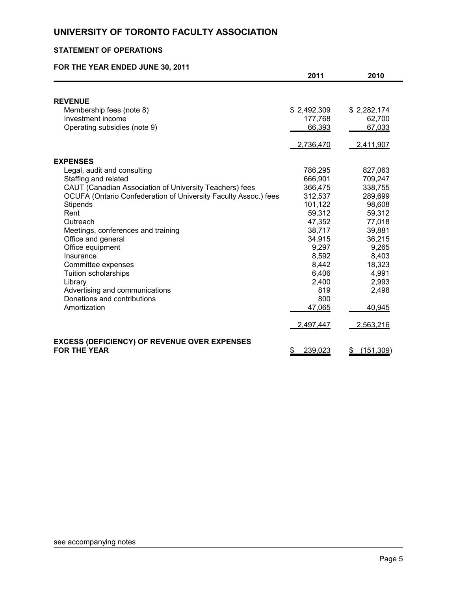# **STATEMENT OF OPERATIONS**

## **FOR THE YEAR ENDED JUNE 30, 2011**

| THE TEAR ENDED CONE OO, ZOTT                                    | 2011          | 2010             |
|-----------------------------------------------------------------|---------------|------------------|
|                                                                 |               |                  |
| <b>REVENUE</b>                                                  |               |                  |
| Membership fees (note 8)                                        | \$2,492,309   | \$2,282,174      |
| Investment income                                               | 177,768       | 62,700           |
| Operating subsidies (note 9)                                    | 66,393        | 67,033           |
|                                                                 | 2,736,470     | 2,411,907        |
| <b>EXPENSES</b>                                                 |               |                  |
| Legal, audit and consulting                                     | 786,295       | 827,063          |
| Staffing and related                                            | 666,901       | 709,247          |
| CAUT (Canadian Association of University Teachers) fees         | 366,475       | 338,755          |
| OCUFA (Ontario Confederation of University Faculty Assoc.) fees | 312,537       | 289,699          |
| Stipends                                                        | 101,122       | 98,608           |
| Rent                                                            | 59,312        | 59,312           |
| Outreach                                                        | 47,352        | 77,018           |
| Meetings, conferences and training                              | 38,717        | 39,881           |
| Office and general                                              | 34,915        | 36,215           |
| Office equipment                                                | 9,297         | 9,265            |
| Insurance                                                       | 8,592         | 8,403            |
| Committee expenses                                              | 8,442         | 18,323           |
| <b>Tuition scholarships</b>                                     | 6,406         | 4,991            |
| Library                                                         | 2,400         | 2,993            |
| Advertising and communications                                  | 819           | 2,498            |
| Donations and contributions                                     | 800           |                  |
| Amortization                                                    | 47,065        | 40,945           |
|                                                                 | 2,497,447     | 2,563,216        |
| <b>EXCESS (DEFICIENCY) OF REVENUE OVER EXPENSES</b>             |               |                  |
| <b>FOR THE YEAR</b>                                             | 239,023<br>\$ | (151, 309)<br>\$ |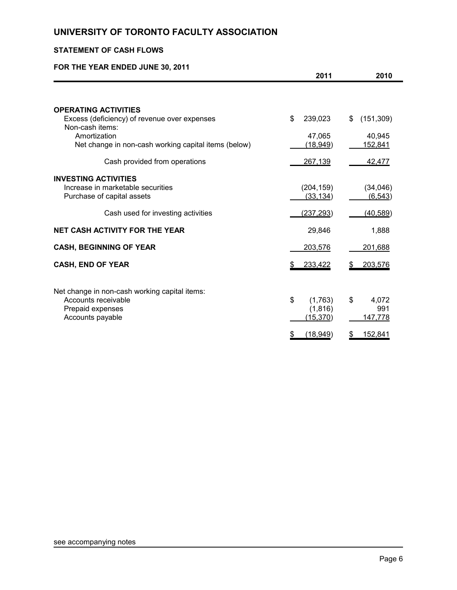# **STATEMENT OF CASH FLOWS**

## **FOR THE YEAR ENDED JUNE 30, 2011**

|                                                                 | 2011                  | 2010             |
|-----------------------------------------------------------------|-----------------------|------------------|
|                                                                 |                       |                  |
| <b>OPERATING ACTIVITIES</b>                                     |                       |                  |
| Excess (deficiency) of revenue over expenses<br>Non-cash items: | \$<br>239,023         | \$<br>(151, 309) |
| Amortization                                                    | 47,065                | 40,945           |
| Net change in non-cash working capital items (below)            | (18,949)              | 152,841          |
| Cash provided from operations                                   | 267,139               | 42,477           |
| <b>INVESTING ACTIVITIES</b>                                     |                       |                  |
| Increase in marketable securities                               | (204, 159)            | (34,046)         |
| Purchase of capital assets                                      | (33, 134)             | (6, 543)         |
| Cash used for investing activities                              | (237, 293)            | (40, 589)        |
| <b>NET CASH ACTIVITY FOR THE YEAR</b>                           | 29,846                | 1,888            |
| <b>CASH, BEGINNING OF YEAR</b>                                  | 203,576               | 201,688          |
| <b>CASH, END OF YEAR</b>                                        | 233,422               | 203,576          |
| Net change in non-cash working capital items:                   |                       |                  |
| Accounts receivable                                             | \$<br>(1,763)         | \$<br>4,072      |
| Prepaid expenses<br>Accounts payable                            | (1, 816)<br>(15, 370) | 991<br>147,778   |
|                                                                 |                       |                  |
|                                                                 | (18, 949)<br>\$       | 152,841<br>\$    |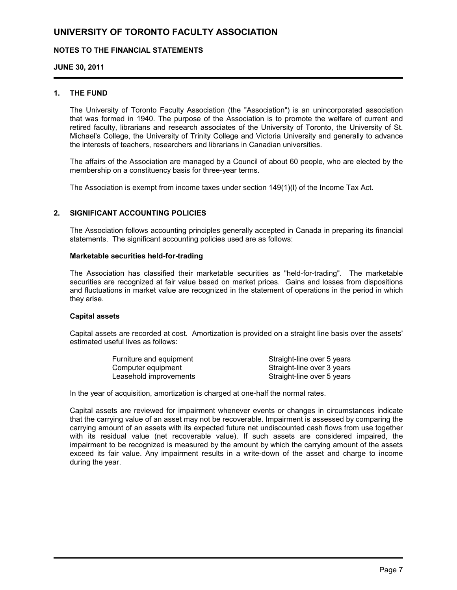### **NOTES TO THE FINANCIAL STATEMENTS**

### **JUNE 30, 2011**

### **1. THE FUND**

The University of Toronto Faculty Association (the "Association") is an unincorporated association that was formed in 1940. The purpose of the Association is to promote the welfare of current and retired faculty, librarians and research associates of the University of Toronto, the University of St. Michael's College, the University of Trinity College and Victoria University and generally to advance the interests of teachers, researchers and librarians in Canadian universities.

The affairs of the Association are managed by a Council of about 60 people, who are elected by the membership on a constituency basis for three-year terms.

The Association is exempt from income taxes under section 149(1)(l) of the Income Tax Act.

### **2. SIGNIFICANT ACCOUNTING POLICIES**

The Association follows accounting principles generally accepted in Canada in preparing its financial statements. The significant accounting policies used are as follows:

### **Marketable securities held-for-trading**

The Association has classified their marketable securities as "held-for-trading". The marketable securities are recognized at fair value based on market prices. Gains and losses from dispositions and fluctuations in market value are recognized in the statement of operations in the period in which they arise.

#### **Capital assets**

Capital assets are recorded at cost. Amortization is provided on a straight line basis over the assets' estimated useful lives as follows:

| Furniture and equipment | Straight-line over 5 years |
|-------------------------|----------------------------|
| Computer equipment      | Straight-line over 3 years |
| Leasehold improvements  | Straight-line over 5 years |

In the year of acquisition, amortization is charged at one-half the normal rates.

Capital assets are reviewed for impairment whenever events or changes in circumstances indicate that the carrying value of an asset may not be recoverable. Impairment is assessed by comparing the carrying amount of an assets with its expected future net undiscounted cash flows from use together with its residual value (net recoverable value). If such assets are considered impaired, the impairment to be recognized is measured by the amount by which the carrying amount of the assets exceed its fair value. Any impairment results in a write-down of the asset and charge to income during the year.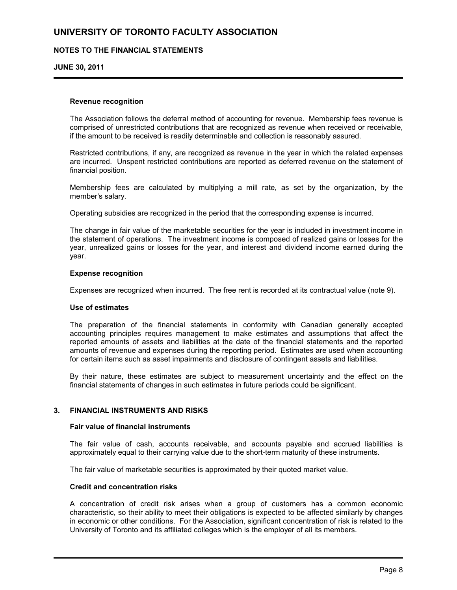### **NOTES TO THE FINANCIAL STATEMENTS**

**JUNE 30, 2011**

#### **Revenue recognition**

The Association follows the deferral method of accounting for revenue. Membership fees revenue is comprised of unrestricted contributions that are recognized as revenue when received or receivable, if the amount to be received is readily determinable and collection is reasonably assured.

Restricted contributions, if any, are recognized as revenue in the year in which the related expenses are incurred. Unspent restricted contributions are reported as deferred revenue on the statement of financial position.

Membership fees are calculated by multiplying a mill rate, as set by the organization, by the member's salary.

Operating subsidies are recognized in the period that the corresponding expense is incurred.

The change in fair value of the marketable securities for the year is included in investment income in the statement of operations. The investment income is composed of realized gains or losses for the year, unrealized gains or losses for the year, and interest and dividend income earned during the year.

#### **Expense recognition**

Expenses are recognized when incurred. The free rent is recorded at its contractual value (note 9).

### **Use of estimates**

The preparation of the financial statements in conformity with Canadian generally accepted accounting principles requires management to make estimates and assumptions that affect the reported amounts of assets and liabilities at the date of the financial statements and the reported amounts of revenue and expenses during the reporting period. Estimates are used when accounting for certain items such as asset impairments and disclosure of contingent assets and liabilities.

By their nature, these estimates are subject to measurement uncertainty and the effect on the financial statements of changes in such estimates in future periods could be significant.

### **3. FINANCIAL INSTRUMENTS AND RISKS**

### **Fair value of financial instruments**

The fair value of cash, accounts receivable, and accounts payable and accrued liabilities is approximately equal to their carrying value due to the short-term maturity of these instruments.

The fair value of marketable securities is approximated by their quoted market value.

#### **Credit and concentration risks**

A concentration of credit risk arises when a group of customers has a common economic characteristic, so their ability to meet their obligations is expected to be affected similarly by changes in economic or other conditions. For the Association, significant concentration of risk is related to the University of Toronto and its affiliated colleges which is the employer of all its members.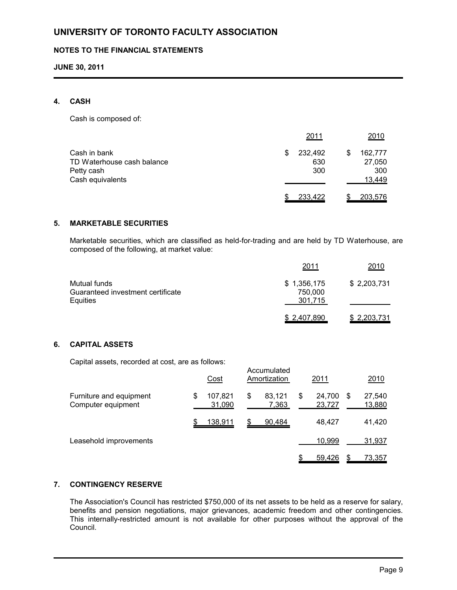### **NOTES TO THE FINANCIAL STATEMENTS**

**JUNE 30, 2011**

### **4. CASH**

Cash is composed of:

|                            | 2011         | 2010         |
|----------------------------|--------------|--------------|
| Cash in bank               | 232,492<br>S | 162,777<br>S |
| TD Waterhouse cash balance | 630          | 27,050       |
| Petty cash                 | 300          | 300          |
| Cash equivalents           |              | 13,449       |
|                            | 233,422      | 203,576      |

### **5. MARKETABLE SECURITIES**

Marketable securities, which are classified as held-for-trading and are held by TD Waterhouse, are composed of the following, at market value:

|                                                               | <u> 2011</u>                      | <u> 2010</u> |
|---------------------------------------------------------------|-----------------------------------|--------------|
| Mutual funds<br>Guaranteed investment certificate<br>Equities | \$1,356,175<br>750,000<br>301,715 | \$2,203,731  |
|                                                               | \$2,407,890                       | \$2,203,731  |

### **6. CAPITAL ASSETS**

Capital assets, recorded at cost, are as follows:

|                                               | <u>Cost</u>             | Accumulated<br>Amortization | 2011                   |     | 2010             |
|-----------------------------------------------|-------------------------|-----------------------------|------------------------|-----|------------------|
| Furniture and equipment<br>Computer equipment | \$<br>107,821<br>31,090 | \$<br>83,121<br>7,363       | \$<br>24.700<br>23,727 | \$. | 27,540<br>13,880 |
|                                               | 138,911                 | 90,484                      | 48,427                 |     | 41,420           |
| Leasehold improvements                        |                         |                             | 10,999                 |     | 31,937           |
|                                               |                         |                             | 59,426                 |     | <u>73,357</u>    |

Accumulated

### **7. CONTINGENCY RESERVE**

The Association's Council has restricted \$750,000 of its net assets to be held as a reserve for salary, benefits and pension negotiations, major grievances, academic freedom and other contingencies. This internally-restricted amount is not available for other purposes without the approval of the Council.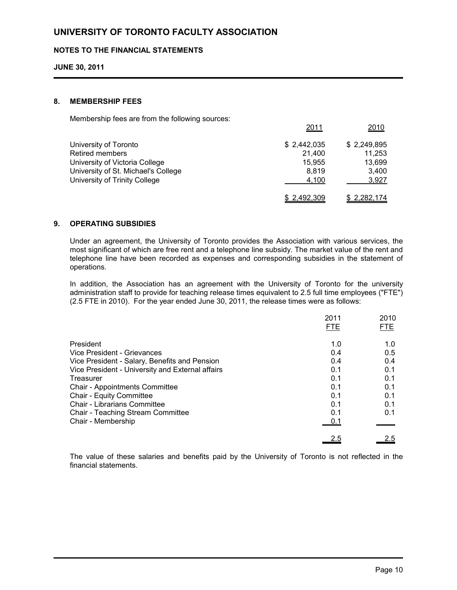### **NOTES TO THE FINANCIAL STATEMENTS**

**JUNE 30, 2011**

### **8. MEMBERSHIP FEES**

Membership fees are from the following sources:

|                                     | -- - -      | $-0.0$      |
|-------------------------------------|-------------|-------------|
| University of Toronto               | \$2,442,035 | \$2,249,895 |
| Retired members                     | 21,400      | 11,253      |
| University of Victoria College      | 15.955      | 13,699      |
| University of St. Michael's College | 8.819       | 3.400       |
| University of Trinity College       | 4,100       | 3,927       |
|                                     | \$2,492,309 | \$2,282,174 |

2011 2010

### **9. OPERATING SUBSIDIES**

Under an agreement, the University of Toronto provides the Association with various services, the most significant of which are free rent and a telephone line subsidy. The market value of the rent and telephone line have been recorded as expenses and corresponding subsidies in the statement of operations.

In addition, the Association has an agreement with the University of Toronto for the university administration staff to provide for teaching release times equivalent to 2.5 full time employees ("FTE") (2.5 FTE in 2010). For the year ended June 30, 2011, the release times were as follows:

|                                                  | 2011       | 2010 |
|--------------------------------------------------|------------|------|
|                                                  | <b>FTE</b> | FTE  |
| President                                        | 1.0        | 1.0  |
| Vice President - Grievances                      | 0.4        | 0.5  |
| Vice President - Salary, Benefits and Pension    | 0.4        | 0.4  |
| Vice President - University and External affairs | 0.1        | 0.1  |
| Treasurer                                        | 0.1        | 0.1  |
| <b>Chair - Appointments Committee</b>            | 0.1        | 0.1  |
| <b>Chair - Equity Committee</b>                  | 0.1        | 0.1  |
| <b>Chair - Librarians Committee</b>              | 0.1        | 0.1  |
| <b>Chair - Teaching Stream Committee</b>         | 0.1        | 0.1  |
| Chair - Membership                               | 0.1        |      |
|                                                  | 2.5        | 2.5  |

The value of these salaries and benefits paid by the University of Toronto is not reflected in the financial statements.